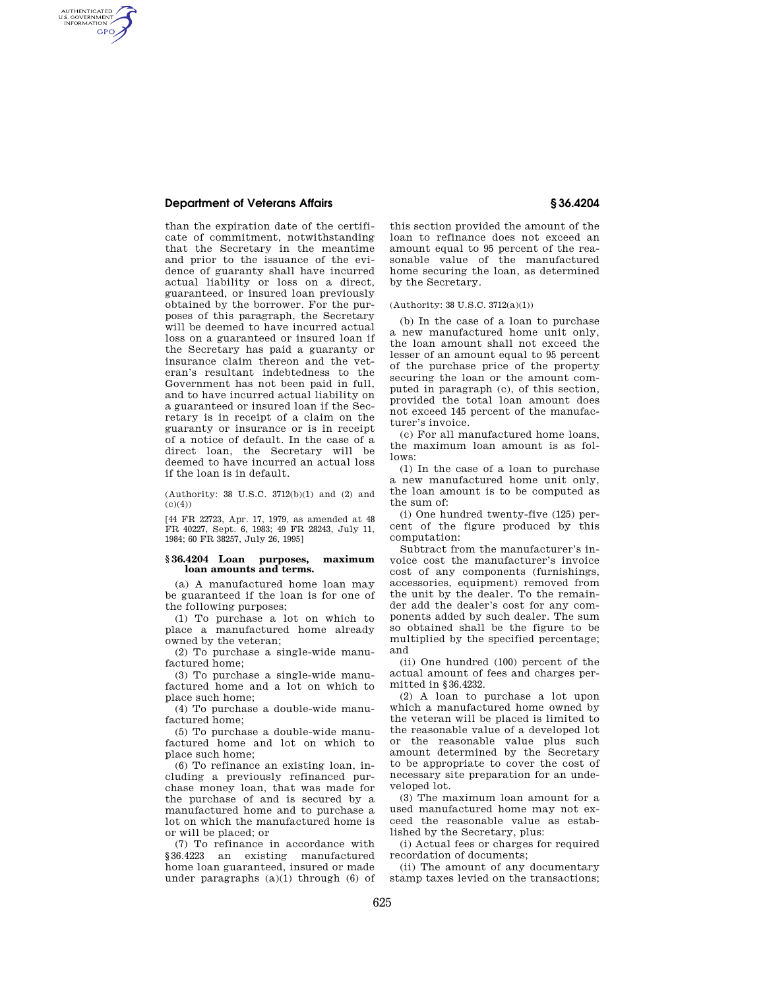### **Department of Veterans Affairs § 36.4204**

AUTHENTICATED<br>U.S. GOVERNMENT<br>INFORMATION GPO

> than the expiration date of the certificate of commitment, notwithstanding that the Secretary in the meantime and prior to the issuance of the evidence of guaranty shall have incurred actual liability or loss on a direct, guaranteed, or insured loan previously obtained by the borrower. For the purposes of this paragraph, the Secretary will be deemed to have incurred actual loss on a guaranteed or insured loan if the Secretary has paid a guaranty or insurance claim thereon and the veteran's resultant indebtedness to the Government has not been paid in full, and to have incurred actual liability on a guaranteed or insured loan if the Secretary is in receipt of a claim on the guaranty or insurance or is in receipt of a notice of default. In the case of a direct loan, the Secretary will be deemed to have incurred an actual loss if the loan is in default.

(Authority: 38 U.S.C. 3712(b)(1) and (2) and  $(c)(4))$ 

[44 FR 22723, Apr. 17, 1979, as amended at 48 FR 40227, Sept. 6, 1983; 49 FR 28243, July 11, 1984; 60 FR 38257, July 26, 1995]

#### **§ 36.4204 Loan purposes, maximum loan amounts and terms.**

(a) A manufactured home loan may be guaranteed if the loan is for one of the following purposes;

(1) To purchase a lot on which to place a manufactured home already owned by the veteran;

(2) To purchase a single-wide manufactured home;

(3) To purchase a single-wide manufactured home and a lot on which to place such home;

(4) To purchase a double-wide manufactured home;

(5) To purchase a double-wide manufactured home and lot on which to place such home;

(6) To refinance an existing loan, including a previously refinanced purchase money loan, that was made for the purchase of and is secured by a manufactured home and to purchase a lot on which the manufactured home is or will be placed; or

(7) To refinance in accordance with §36.4223 an existing manufactured home loan guaranteed, insured or made under paragraphs  $(a)(1)$  through  $(6)$  of

this section provided the amount of the loan to refinance does not exceed an amount equal to 95 percent of the reasonable value of the manufactured home securing the loan, as determined by the Secretary.

#### (Authority: 38 U.S.C. 3712(a)(1))

(b) In the case of a loan to purchase a new manufactured home unit only, the loan amount shall not exceed the lesser of an amount equal to 95 percent of the purchase price of the property securing the loan or the amount computed in paragraph (c), of this section, provided the total loan amount does not exceed 145 percent of the manufacturer's invoice.

(c) For all manufactured home loans, the maximum loan amount is as follows:

(1) In the case of a loan to purchase a new manufactured home unit only, the loan amount is to be computed as the sum of:

(i) One hundred twenty-five (125) percent of the figure produced by this computation:

Subtract from the manufacturer's invoice cost the manufacturer's invoice cost of any components (furnishings, accessories, equipment) removed from the unit by the dealer. To the remainder add the dealer's cost for any components added by such dealer. The sum so obtained shall be the figure to be multiplied by the specified percentage; and

(ii) One hundred (100) percent of the actual amount of fees and charges permitted in §36.4232.

(2) A loan to purchase a lot upon which a manufactured home owned by the veteran will be placed is limited to the reasonable value of a developed lot or the reasonable value plus such amount determined by the Secretary to be appropriate to cover the cost of necessary site preparation for an undeveloped lot.

(3) The maximum loan amount for a used manufactured home may not exceed the reasonable value as established by the Secretary, plus:

(i) Actual fees or charges for required recordation of documents;

(ii) The amount of any documentary stamp taxes levied on the transactions;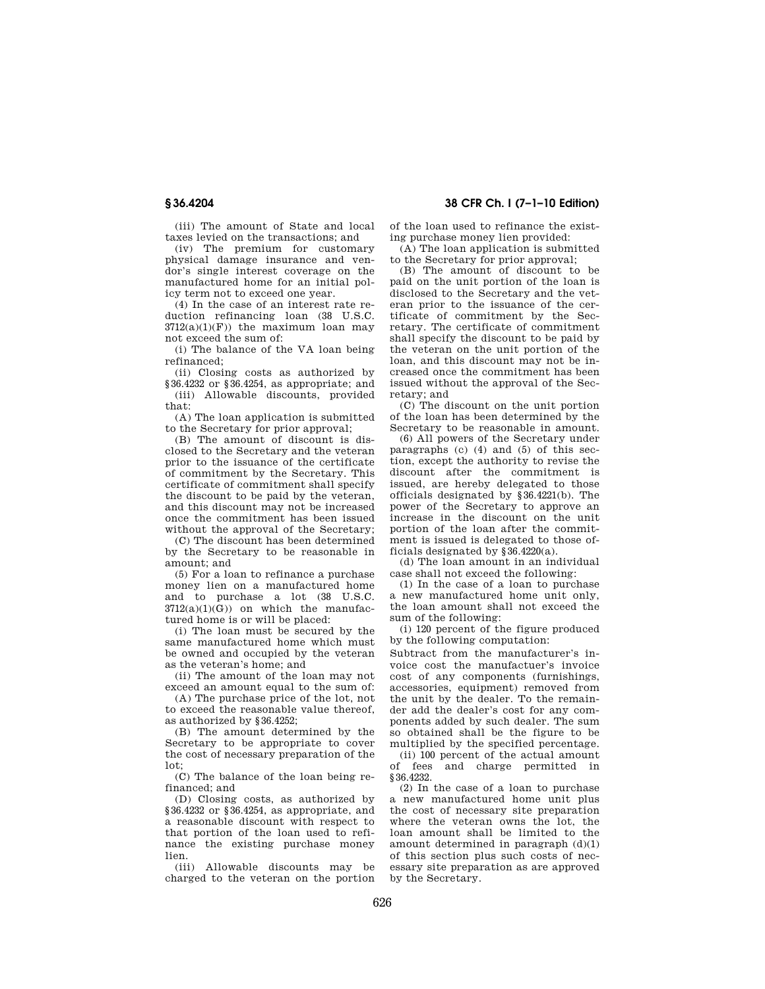(iii) The amount of State and local taxes levied on the transactions; and

(iv) The premium for customary physical damage insurance and vendor's single interest coverage on the manufactured home for an initial policy term not to exceed one year.

(4) In the case of an interest rate reduction refinancing loan (38 U.S.C.  $3712(a)(1)(F)$  the maximum loan may not exceed the sum of:

(i) The balance of the VA loan being refinanced;

(ii) Closing costs as authorized by §36.4232 or §36.4254, as appropriate; and (iii) Allowable discounts, provided that:

(A) The loan application is submitted to the Secretary for prior approval;

(B) The amount of discount is disclosed to the Secretary and the veteran prior to the issuance of the certificate of commitment by the Secretary. This certificate of commitment shall specify the discount to be paid by the veteran, and this discount may not be increased once the commitment has been issued without the approval of the Secretary;

(C) The discount has been determined by the Secretary to be reasonable in amount; and

(5) For a loan to refinance a purchase money lien on a manufactured home and to purchase a lot (38 U.S.C.  $3712(a)(1)(G)$  on which the manufactured home is or will be placed:

(i) The loan must be secured by the same manufactured home which must be owned and occupied by the veteran as the veteran's home; and

(ii) The amount of the loan may not exceed an amount equal to the sum of:

(A) The purchase price of the lot, not to exceed the reasonable value thereof, as authorized by §36.4252;

(B) The amount determined by the Secretary to be appropriate to cover the cost of necessary preparation of the lot;

(C) The balance of the loan being refinanced; and

(D) Closing costs, as authorized by §36.4232 or §36.4254, as appropriate, and a reasonable discount with respect to that portion of the loan used to refinance the existing purchase money lien.

(iii) Allowable discounts may be charged to the veteran on the portion

**§ 36.4204 38 CFR Ch. I (7–1–10 Edition)** 

of the loan used to refinance the existing purchase money lien provided:

(A) The loan application is submitted to the Secretary for prior approval;

(B) The amount of discount to be paid on the unit portion of the loan is disclosed to the Secretary and the veteran prior to the issuance of the certificate of commitment by the Secretary. The certificate of commitment shall specify the discount to be paid by the veteran on the unit portion of the loan, and this discount may not be increased once the commitment has been issued without the approval of the Secretary; and

(C) The discount on the unit portion of the loan has been determined by the Secretary to be reasonable in amount.

(6) All powers of the Secretary under paragraphs (c) (4) and (5) of this section, except the authority to revise the discount after the commitment is issued, are hereby delegated to those officials designated by §36.4221(b). The power of the Secretary to approve an increase in the discount on the unit portion of the loan after the commitment is issued is delegated to those officials designated by §36.4220(a).

(d) The loan amount in an individual case shall not exceed the following:

(1) In the case of a loan to purchase a new manufactured home unit only, the loan amount shall not exceed the sum of the following:

(i) 120 percent of the figure produced by the following computation:

Subtract from the manufacturer's invoice cost the manufactuer's invoice cost of any components (furnishings, accessories, equipment) removed from the unit by the dealer. To the remainder add the dealer's cost for any components added by such dealer. The sum so obtained shall be the figure to be multiplied by the specified percentage.

(ii) 100 percent of the actual amount of fees and charge permitted in §36.4232.

(2) In the case of a loan to purchase a new manufactured home unit plus the cost of necessary site preparation where the veteran owns the lot, the loan amount shall be limited to the amount determined in paragraph  $(d)(1)$ of this section plus such costs of necessary site preparation as are approved by the Secretary.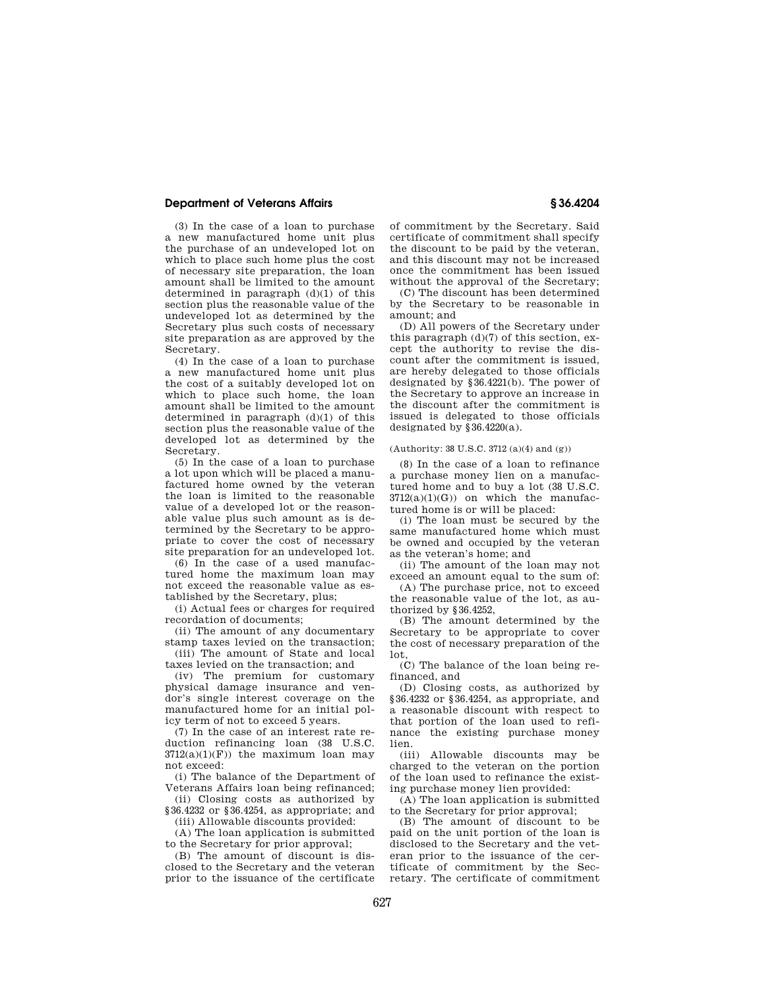## **Department of Veterans Affairs § 36.4204**

(3) In the case of a loan to purchase a new manufactured home unit plus the purchase of an undeveloped lot on which to place such home plus the cost of necessary site preparation, the loan amount shall be limited to the amount determined in paragraph  $(d)(1)$  of this section plus the reasonable value of the undeveloped lot as determined by the Secretary plus such costs of necessary site preparation as are approved by the Secretary.

(4) In the case of a loan to purchase a new manufactured home unit plus the cost of a suitably developed lot on which to place such home, the loan amount shall be limited to the amount determined in paragraph (d)(1) of this section plus the reasonable value of the developed lot as determined by the Secretary.

(5) In the case of a loan to purchase a lot upon which will be placed a manufactured home owned by the veteran the loan is limited to the reasonable value of a developed lot or the reasonable value plus such amount as is determined by the Secretary to be appropriate to cover the cost of necessary site preparation for an undeveloped lot.

(6) In the case of a used manufactured home the maximum loan may not exceed the reasonable value as established by the Secretary, plus;

(i) Actual fees or charges for required recordation of documents;

(ii) The amount of any documentary stamp taxes levied on the transaction;

(iii) The amount of State and local taxes levied on the transaction; and

(iv) The premium for customary physical damage insurance and vendor's single interest coverage on the manufactured home for an initial policy term of not to exceed 5 years.

(7) In the case of an interest rate reduction refinancing loan (38 U.S.C.  $3712(a)(1)(F)$  the maximum loan may not exceed:

(i) The balance of the Department of Veterans Affairs loan being refinanced;

(ii) Closing costs as authorized by §36.4232 or §36.4254, as appropriate; and

(iii) Allowable discounts provided: (A) The loan application is submitted

to the Secretary for prior approval;

(B) The amount of discount is disclosed to the Secretary and the veteran prior to the issuance of the certificate of commitment by the Secretary. Said certificate of commitment shall specify the discount to be paid by the veteran, and this discount may not be increased once the commitment has been issued without the approval of the Secretary;

(C) The discount has been determined by the Secretary to be reasonable in amount; and

(D) All powers of the Secretary under this paragraph (d)(7) of this section, except the authority to revise the discount after the commitment is issued, are hereby delegated to those officials designated by §36.4221(b). The power of the Secretary to approve an increase in the discount after the commitment is issued is delegated to those officials designated by §36.4220(a).

#### (Authority: 38 U.S.C. 3712 (a)(4) and (g))

(8) In the case of a loan to refinance a purchase money lien on a manufactured home and to buy a lot (38 U.S.C.  $3712(a)(1)(G)$  on which the manufactured home is or will be placed:

(i) The loan must be secured by the same manufactured home which must be owned and occupied by the veteran as the veteran's home; and

(ii) The amount of the loan may not exceed an amount equal to the sum of:

(A) The purchase price, not to exceed the reasonable value of the lot, as authorized by §36.4252,

(B) The amount determined by the Secretary to be appropriate to cover the cost of necessary preparation of the lot,

(C) The balance of the loan being refinanced, and

(D) Closing costs, as authorized by §36.4232 or §36.4254, as appropriate, and a reasonable discount with respect to that portion of the loan used to refinance the existing purchase money lien.

(iii) Allowable discounts may be charged to the veteran on the portion of the loan used to refinance the existing purchase money lien provided:

(A) The loan application is submitted to the Secretary for prior approval;

(B) The amount of discount to be paid on the unit portion of the loan is disclosed to the Secretary and the veteran prior to the issuance of the certificate of commitment by the Secretary. The certificate of commitment